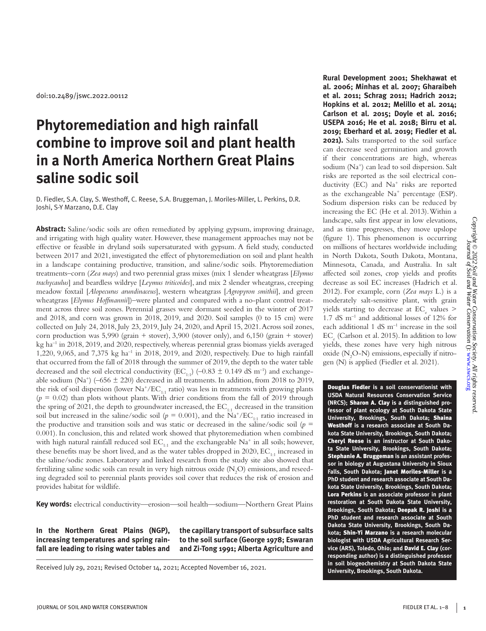doi:10.2489/jswc.2022.00112

# **Phytoremediation and high rainfall combine to improve soil and plant health in a North America Northern Great Plains saline sodic soil**

D. Fiedler, S.A. Clay, S. Westhoff, C. Reese, S.A. Bruggeman, J. Moriles-Miller, L. Perkins, D.R. Joshi, S-Y Marzano, D.E. Clay

**Abstract:** Saline/sodic soils are often remediated by applying gypsum, improving drainage, and irrigating with high quality water. However, these management approaches may not be effective or feasible in dryland soils supersaturated with gypsum. A field study, conducted between 2017 and 2021, investigated the effect of phytoremediation on soil and plant health in a landscape containing productive, transition, and saline/sodic soils. Phytoremediation treatments–corn (*Zea mays*) and two perennial grass mixes (mix 1 slender wheatgrass [*Elymus trachycaulus*] and beardless wildrye [*Leymus triticoides*], and mix 2 slender wheatgrass, creeping meadow foxtail [*Alopecurus arundinaceus*], western wheatgrass [*Agropyron smithii*], and green wheatgrass [*Elymus Hoffmannii*])–were planted and compared with a no-plant control treatment across three soil zones. Perennial grasses were dormant seeded in the winter of 2017 and 2018, and corn was grown in 2018, 2019, and 2020. Soil samples (0 to 15 cm) were collected on July 24, 2018, July 23, 2019, July 24, 2020, and April 15, 2021. Across soil zones, corn production was 5,990 (grain + stover), 3,900 (stover only), and 6,150 (grain + stover)  $kg$  ha<sup>-1</sup> in 2018, 2019, and 2020, respectively, whereas perennial grass biomass yields averaged 1,220, 9,065, and 7,375 kg ha–1 in 2018, 2019, and 2020, respectively. Due to high rainfall that occurred from the fall of 2018 through the summer of 2019, the depth to the water table decreased and the soil electrical conductivity (EC<sub>1:1</sub>) (–0.83  $\pm$  0.149 dS m<sup>-1</sup>) and exchangeable sodium (Na<sup>+</sup>) (–656  $\pm$  220) decreased in all treatments. In addition, from 2018 to 2019, the risk of soil dispersion (lower  $\text{Na}^+\text{/EC}_{1:1}$  ratio) was less in treatments with growing plants  $(p = 0.02)$  than plots without plants. With drier conditions from the fall of 2019 through the spring of 2021, the depth to groundwater increased, the  $EC_{1:1}$  decreased in the transition soil but increased in the saline/sodic soil ( $p = 0.001$ ), and the Na<sup>+</sup>/EC<sub>1:1</sub> ratio increased in the productive and transition soils and was static or decreased in the saline/sodic soil  $(p =$ 0.001). In conclusion, this and related work showed that phytoremediation when combined with high natural rainfall reduced soil  $EC_{1:1}$  and the exchangeable Na<sup>+</sup> in all soils; however, these benefits may be short lived, and as the water tables dropped in  $2020$ ,  $EC_{1:1}$  increased in the saline/sodic zones. Laboratory and linked research from the study site also showed that fertilizing saline sodic soils can result in very high nitrous oxide  $(\mathrm{N}_2\mathrm{O})$  emissions, and reseeding degraded soil to perennial plants provides soil cover that reduces the risk of erosion and provides habitat for wildlife.

**Key words:** electrical conductivity—erosion—soil health—sodium—Northern Great Plains

**In the Northern Great Plains (NGP), increasing temperatures and spring rainfall are leading to rising water tables and** 

**the capillary transport of subsurface salts to the soil surface (George 1978; Eswaran and Zi-Tong 1991; Alberta Agriculture and** 

Received July 29, 2021; Revised October 14, 2021; Accepted November 16, 2021.

**Rural Development 2001; Shekhawat et al. 2006; Minhas et al. 2007; Gharaibeh et al. 2011; Schrag 2011; Hadrich 2012; Hopkins et al. 2012; Melillo et al. 2014; Carlson et al. 2015; Doyle et al. 2016; USEPA 2016; He et al. 2018; Birru et al. 2019; Eberhard et al. 2019; Fiedler et al. 2021).** Salts transported to the soil surface can decrease seed germination and growth if their concentrations are high, whereas sodium (Na<sup>+</sup>) can lead to soil dispersion. Salt risks are reported as the soil electrical conductivity (EC) and Na<sup>+</sup> risks are reported as the exchangeable  $Na^+$  percentage (ESP). Sodium dispersion risks can be reduced by increasing the EC (He et al. 2013). Within a landscape, salts first appear in low elevations, and as time progresses, they move upslope (figure 1). This phenomenon is occurring on millions of hectares worldwide including in North Dakota, South Dakota, Montana, Minnesota, Canada, and Australia. In salt affected soil zones, crop yields and profits decrease as soil EC increases (Hadrich et al. 2012). For example, corn (*Zea mays* L.) is a moderately salt-sensitive plant, with grain yields starting to decrease at  $EC_e$  values > 1.7 dS m–1 and additional losses of 12% for each additional 1 dS m–1 increase in the soil  $\mathrm{EC}_{\mathrm{e}}$  (Carlson et al. 2015). In addition to low yields, these zones have very high nitrous oxide (N<sub>2</sub>O-N) emissions, especially if nitrogen (N) is applied (Fiedler et al. 2021).

Douglas Fiedler **is a soil conservationist with USDA Natural Resources Conservation Service (NRCS);** Sharon A. Clay **is a distinguished professor of plant ecology at South Dakota State University, Brookings, South Dakota;** Shaina Westhoff **is a research associate at South Dakota State University, Brookings, South Dakota;**  Cheryl Reese **is an instructor at South Dakota State University, Brookings, South Dakota;**  Stephanie A. Bruggeman **is an assistant professor in biology at Augustana University in Sioux Falls, South Dakota;** Janet Moriles-Miller **is a PhD student and research associate at South Dakota State University, Brookings, South Dakota;**  Lora Perkins **is an associate professor in plant restoration at South Dakota State University, Brookings, South Dakota;** Deepak R. Joshi **is a PhD student and research associate at South Dakota State University, Brookings, South Dakota;** Shin-Yi Marzano **is a research molecular biologist with USDA Agricultural Research Service (ARS), Toledo, Ohio; and** David E. Clay **(corresponding author) is a distinguished professor in soil biogeochemistry at South Dakota State University, Brookings, South Dakota.**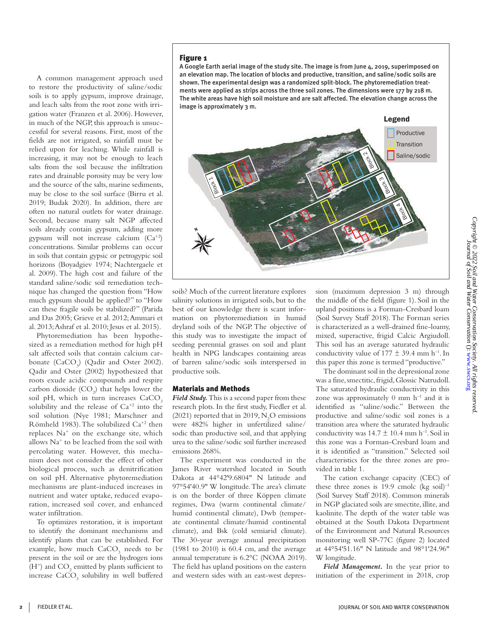A common management approach used to restore the productivity of saline/sodic soils is to apply gypsum, improve drainage, and leach salts from the root zone with irrigation water (Franzen et al. 2006). However, in much of the NGP, this approach is unsuccessful for several reasons. First, most of the fields are not irrigated, so rainfall must be relied upon for leaching. While rainfall is increasing, it may not be enough to leach salts from the soil because the infiltration rates and drainable porosity may be very low and the source of the salts, marine sediments, may be close to the soil surface (Birru et al. 2019; Budak 2020). In addition, there are often no natural outlets for water drainage. Second, because many salt NGP affected soils already contain gypsum, adding more gypsum will not increase calcium  $(Ca^{+2})$ concentrations. Similar problems can occur in soils that contain gypsic or petrogypic soil horizons (Boyadgiev 1974; Nachtergaele et al. 2009). The high cost and failure of the standard saline/sodic soil remediation technique has changed the question from "How much gypsum should be applied?" to "How can these fragile soils be stabilized?" (Parida

al. 2013; Ashraf et al. 2010; Jesus et al. 2015). Phytoremediation has been hypothesized as a remediation method for high pH salt affected soils that contain calcium carbonate  $(CaCO<sub>3</sub>)$  (Qadir and Oster 2002). Qadir and Oster (2002) hypothesized that roots exude acidic compounds and respire carbon dioxide  $(CO_2)$  that helps lower the soil pH, which in turn increases CaCO<sub>3</sub> solubility and the release of  $Ca^{+2}$  into the soil solution (Nye 1981; Marschner and Römheld 1983). The solubilized Ca+2 then replaces Na+ on the exchange site, which allows Na+ to be leached from the soil with percolating water. However, this mechanism does not consider the effect of other biological process, such as denitrification on soil pH. Alternative phytoremediation mechanisms are plant-induced increases in nutrient and water uptake, reduced evaporation, increased soil cover, and enhanced water infiltration.

and Das 2005; Grieve et al. 2012; Ammari et

To optimizes restoration, it is important to identify the dominant mechanisms and identify plants that can be established. For example, how much CaCO<sub>3</sub> needs to be present in the soil or are the hydrogen ions (H<sup>+</sup>) and  $\mathrm{CO}_2$  emitted by plants sufficient to increase  $CaCO<sub>3</sub>$  solubility in well buffered

# Figure 1

A Google Earth aerial image of the study site. The image is from June 4, 2019, superimposed on an elevation map. The location of blocks and productive, transition, and saline/sodic soils are shown. The experimental design was a randomized split-block. The phytoremediation treatments were applied as strips across the three soil zones. The dimensions were 177 by 218 m. The white areas have high soil moisture and are salt affected. The elevation change across the image is approximately 3 m.



soils? Much of the current literature explores salinity solutions in irrigated soils, but to the best of our knowledge there is scant information on phytoremediation in humid dryland soils of the NGP. The objective of this study was to investigate the impact of seeding perennial grasses on soil and plant health in NPG landscapes containing areas of barren saline/sodic soils interspersed in productive soils.

## Materials and Methods

*Field Study.* This is a second paper from these research plots. In the first study, Fiedler et al. (2021) reported that in 2019,  $N_2O$  emissions were 482% higher in unfertilized saline/ sodic than productive soil, and that applying urea to the saline/sodic soil further increased emissions 268%.

The experiment was conducted in the James River watershed located in South Dakota at 44°42'9.6804" N latitude and 97°54'40.9" W longitude. The area's climate is on the border of three Köppen climate regimes, Dwa (warm continental climate/ humid continental climate), Dwb (temperate continental climate/humid continental climate), and Bsk (cold semiarid climate). The 30-year average annual precipitation (1981 to 2010) is 60.4 cm, and the average annual temperature is 6.2°C (NOAA 2019). The field has upland positions on the eastern and western sides with an east-west depression (maximum depression 3 m) through the middle of the field (figure 1). Soil in the upland positions is a Forman-Cresbard loam (Soil Survey Staff 2018). The Forman series is characterized as a well-drained fine-loamy, mixed, superactive, frigid Calcic Argiudoll. This soil has an average saturated hydraulic conductivity value of  $177 \pm 39.4$  mm h<sup>-1</sup>. In this paper this zone is termed "productive."

The dominant soil in the depressional zone was a fine, smectitic, frigid, Glossic Natrudoll. The saturated hydraulic conductivity in this zone was approximately  $0$  mm  $h^{-1}$  and it is identified as "saline/sodic." Between the productive and saline/sodic soil zones is a transition area where the saturated hydraulic conductivity was  $14.7 \pm 10.4$  mm h<sup>-1</sup>. Soil in this zone was a Forman-Cresbard loam and it is identified as "transition." Selected soil characteristics for the three zones are provided in table 1.

The cation exchange capacity (CEC) of these three zones is 19.9 cmolc (kg soil) $^{-1}$ (Soil Survey Staff 2018). Common minerals in NGP glaciated soils are smectite, illite, and kaolinite. The depth of the water table was obtained at the South Dakota Department of the Environment and Natural Resources monitoring well SP-77C (figure 2) located at 44°54'51.16" N latitude and 98°1'24.96" W longitude.

*Field Management.* In the year prior to initiation of the experiment in 2018, crop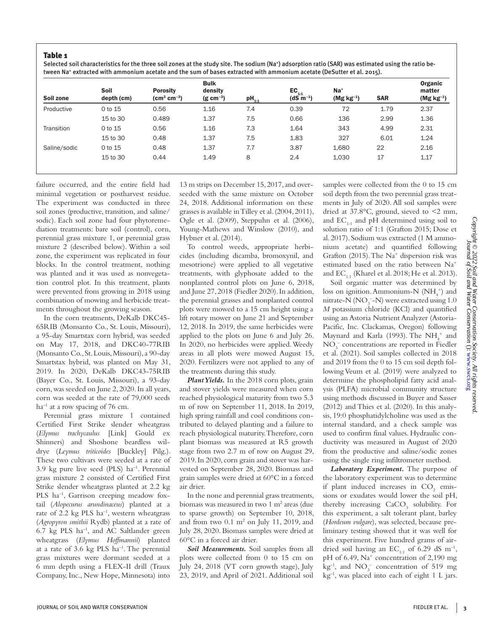# Table 1

Selected soil characteristics for the three soil zones at the study site. The sodium (Na<sup>+</sup>) adsorption ratio (SAR) was estimated using the ratio between Na+ extracted with ammonium acetate and the sum of bases extracted with ammonium acetate (DeSutter et al. 2015).

| Soil<br>depth (cm) | <b>Porosity</b><br>$\rm \left( cm^{3} \, cm^{-3} \right)$ | <b>Bulk</b><br>density<br>$(g cm^{-3})$ | $pH_{1:1}$ | $EC_{1:1}$<br>$(dS m^{-1})$ | $Na+$<br>$(Mg kg^{-1})$ | <b>SAR</b> | Organic<br>matter<br>$(Mg kg^{-1})$ |
|--------------------|-----------------------------------------------------------|-----------------------------------------|------------|-----------------------------|-------------------------|------------|-------------------------------------|
| 0 to 15            | 0.56                                                      | 1.16                                    | 7.4        | 0.39                        | 72                      | 1.79       | 2.37                                |
| 15 to 30           | 0.489                                                     | 1.37                                    | 7.5        | 0.66                        | 136                     | 2.99       | 1.36                                |
| 0 to 15            | 0.56                                                      | 1.16                                    | 7.3        | 1.64                        | 343                     | 4.99       | 2.31                                |
| 15 to 30           | 0.48                                                      | 1.37                                    | 7.5        | 1.83                        | 327                     | 6.01       | 1.24                                |
| 0 to 15            | 0.48                                                      | 1.37                                    | 7.7        | 3.87                        | 1.680                   | 22         | 2.16                                |
| 15 to 30           | 0.44                                                      | 1.49                                    | 8          | 2.4                         | 1,030                   | 17         | 1.17                                |
|                    |                                                           |                                         |            |                             |                         |            |                                     |

failure occurred, and the entire field had minimal vegetation or postharvest residue. The experiment was conducted in three soil zones (productive, transition, and saline/ sodic). Each soil zone had four phytoremediation treatments: bare soil (control), corn, perennial grass mixture 1, or perennial grass mixture 2 (described below). Within a soil zone, the experiment was replicated in four blocks. In the control treatment, nothing was planted and it was used as nonvegetation control plot. In this treatment, plants were prevented from growing in 2018 using combination of mowing and herbicide treatments throughout the growing season.

In the corn treatments, DeKalb DKC45- 65RIB (Monsanto Co., St. Louis, Missouri), a 95-day Smartstax corn hybrid, was seeded on May 17, 2018, and DKC40-77RIB (Monsanto Co., St. Louis, Missouri), a 90-day Smartstax hybrid, was planted on May 31, 2019. In 2020, DeKalb DKC43-75RIB (Bayer Co., St. Louis, Missouri), a 93-day corn, was seeded on June 2, 2020. In all years, corn was seeded at the rate of 79,000 seeds  $ha^{-1}$  at a row spacing of 76 cm.

Perennial grass mixture 1 contained Certified First Strike slender wheatgrass (*Elymus trachycaulus* [Link] Gould ex Shinners) and Shoshone beardless wildrye (*Leymus triticoides* [Buckley] Pilg.). These two cultivars were seeded at a rate of 3.9 kg pure live seed (PLS)  $ha^{-1}$ . Perennial grass mixture 2 consisted of Certified First Strike slender wheatgrass planted at 2.2 kg PLS ha<sup>-1</sup>, Garrison creeping meadow foxtail (*Alopecurus arundinaceus*) planted at a rate of 2.2 kg PLS ha<sup>-1</sup>, western wheatgrass (*Agropyron smithii* Rydb) planted at a rate of 6.7 kg PLS ha–1, and AC Saltlander green wheatgrass (*Elymus Hoffmannii*) planted at a rate of 3.6 kg PLS  $ha^{-1}$ . The perennial grass mixtures were dormant seeded at a 6 mm depth using a FLEX-II drill (Traux Company, Inc., New Hope, Minnesota) into

13 m strips on December 15, 2017, and overseeded with the same mixture on October 24, 2018. Additional information on these grasses is available in Tilley et al. (2004, 2011), Ogle et al. (2009), Steppuhn et al. (2006), Young-Mathews and Winslow (2010), and Hybner et al. (2014).

To control weeds, appropriate herbicides (including dicamba, bromoxynil, and mesotrione) were applied to all vegetative treatments, with glyphosate added to the nonplanted control plots on June 6, 2018, and June 27, 2018 (Fiedler 2020). In addition, the perennial grasses and nonplanted control plots were mowed to a 15 cm height using a lift rotary mower on June 21 and September 12, 2018. In 2019, the same herbicides were applied to the plots on June 6 and July 26. In 2020, no herbicides were applied. Weedy areas in all plots were mowed August 15, 2020. Fertilizers were not applied to any of the treatments during this study.

*Plant Yields.* In the 2018 corn plots, grain and stover yields were measured when corn reached physiological maturity from two 5.3 m of row on September 11, 2018. In 2019, high spring rainfall and cool conditions contributed to delayed planting and a failure to reach physiological maturity. Therefore, corn plant biomass was measured at R5 growth stage from two 2.7 m of row on August 29, 2019. In 2020, corn grain and stover was harvested on September 28, 2020. Biomass and grain samples were dried at 60°C in a forced air drier.

In the none and perennial grass treatments, biomass was measured in two 1 m<sup>2</sup> areas (due to sparse growth) on September 10, 2018, and from two  $0.1 \text{ m}^2$  on July 11, 2019, and July 28, 2020. Biomass samples were dried at 60°C in a forced air drier.

*Soil Measurements.* Soil samples from all plots were collected from 0 to 15 cm on July 24, 2018 (VT corn growth stage), July 23, 2019, and April of 2021. Additional soil

samples were collected from the 0 to 15 cm soil depth from the two perennial grass treatments in July of 2020. All soil samples were dried at 37.8°C, ground, sieved to <2 mm, and  $EC_{1:1}$  and pH determined using soil to solution ratio of 1:1 (Grafton 2015; Dose et al. 2017). Sodium was extracted (1 M ammonium acetate) and quantified following Grafton (2015). The Na<sup>+</sup> dispersion risk was estimated based on the ratio between Na+ and  $EC_{1:1}$  (Kharel et al. 2018; He et al. 2013).

Soil organic matter was determined by loss on ignition. Ammonium-N  $(NH_4^+)$  and nitrate-N (NO $_3$ <sup>-</sup>-N) were extracted using 1.0 *M* potassium chloride (KCl) and quantified using an Astoria Nutrient Analyzer (Astoria-Pacific, Inc. Clackamas, Oregon) following Maynard and Karla (1993). The  $NH_4^+$  and NO<sub>3</sub> concentrations are reported in Fiedler et al. (2021). Soil samples collected in 2018 and 2019 from the 0 to 15 cm soil depth following Veum et al. (2019) were analyzed to determine the phospholipid fatty acid analysis (PLFA) microbial community structure using methods discussed in Buyer and Sasser (2012) and Thies et al. (2020). In this analysis, 19:0 phosphatidylcholine was used as the internal standard, and a check sample was used to confirm final values. Hydraulic conductivity was measured in August of 2020 from the productive and saline/sodic zones using the single ring infiltrometer method.

*Laboratory Experiment.* The purpose of the laboratory experiment was to determine if plant induced increases in  $CO<sub>2</sub>$  emissions or exudates would lower the soil pH, thereby increasing  $CaCO<sub>3</sub>$  solubility. For this experiment, a salt tolerant plant, barley (*Hordeum vulgare*), was selected, because preliminary testing showed that it was well for this experiment. Five hundred grams of airdried soil having an  $EC_{1:1}$  of 6.29 dS m<sup>-1</sup>, pH of 6.49, Na<sup>+</sup> concentration of 2,190 mg  $kg^{-1}$ , and  $NO_3^-$  concentration of 519 mg  $kg^{-1}$ , was placed into each of eight 1 L jars.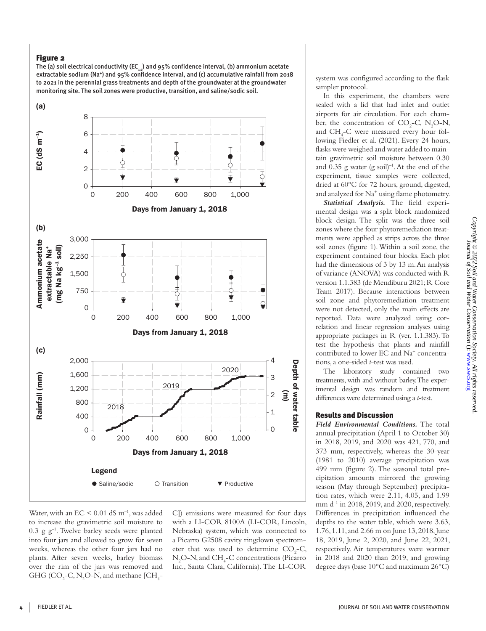# Figure 2

The (a) soil electrical conductivity (EC $_{1,1}$ ) and 95% confidence interval, (b) ammonium acetate extractable sodium (Na<sup>+</sup>) and 95% confidence interval, and (c) accumulative rainfall from 2018 to 2021 in the perennial grass treatments and depth of the groundwater at the groundwater monitoring site. The soil zones were productive, transition, and saline/sodic soil.



Water, with an  $EC < 0.01$  dS m<sup>-1</sup>, was added to increase the gravimetric soil moisture to  $0.3$  g g<sup>-1</sup>. Twelve barley seeds were planted into four jars and allowed to grow for seven weeks, whereas the other four jars had no plants. After seven weeks, barley biomass over the rim of the jars was removed and GHG (CO<sub>2</sub>-C, N<sub>2</sub>O-N, and methane [CH<sub>4</sub>- C]) emissions were measured for four days with a LI-COR 8100A (LI-COR, Lincoln, Nebraska) system, which was connected to a Picarro G2508 cavity ringdown spectrometer that was used to determine  $CO<sub>2</sub>-C$ , N<sub>2</sub>O-N, and CH<sub>4</sub>-C concentrations (Picarro Inc., Santa Clara, California). The LI-COR

system was configured according to the flask sampler protocol.

In this experiment, the chambers were sealed with a lid that had inlet and outlet airports for air circulation. For each chamber, the concentration of  $CO<sub>2</sub>-C$ , N<sub>2</sub>O-N, and CH4 -C were measured every hour following Fiedler et al. (2021). Every 24 hours, flasks were weighed and water added to maintain gravimetric soil moisture between 0.30 and  $0.35$  g water (g soil)<sup>-1</sup>. At the end of the experiment, tissue samples were collected, dried at 60°C for 72 hours, ground, digested, and analyzed for Na<sup>+</sup> using flame photometry.

*Statistical Analysis.* The field experimental design was a split block randomized block design. The split was the three soil zones where the four phytoremediation treatments were applied as strips across the three soil zones (figure 1). Within a soil zone, the experiment contained four blocks. Each plot had the dimensions of 3 by 13 m. An analysis of variance (ANOVA) was conducted with R version 1.1.383 (de Mendiburu 2021; R Core Team 2017). Because interactions between soil zone and phytoremediation treatment were not detected, only the main effects are reported. Data were analyzed using correlation and linear regression analyses using appropriate packages in R (ver. 1.1.383). To test the hypothesis that plants and rainfall contributed to lower EC and Na<sup>+</sup> concentrations, a one-sided *t*-test was used.

The laboratory study contained two treatments, with and without barley. The experimental design was random and treatment differences were determined using a *t*-test.

# Results and Discussion

*Field Environmental Conditions.* The total annual precipitation (April 1 to October 30) in 2018, 2019, and 2020 was 421, 770, and 373 mm, respectively, whereas the 30-year (1981 to 2010) average precipitation was 499 mm (figure 2). The seasonal total precipitation amounts mirrored the growing season (May through September) precipitation rates, which were 2.11, 4.05, and 1.99 mm  $d^{-1}$  in 2018, 2019, and 2020, respectively. Differences in precipitation influenced the depths to the water table, which were 3.63, 1.76, 1.11, and 2.66 m on June 13, 2018, June 18, 2019, June 2, 2020, and June 22, 2021, respectively. Air temperatures were warmer in 2018 and 2020 than 2019, and growing degree days (base 10°C and maximum 26°C)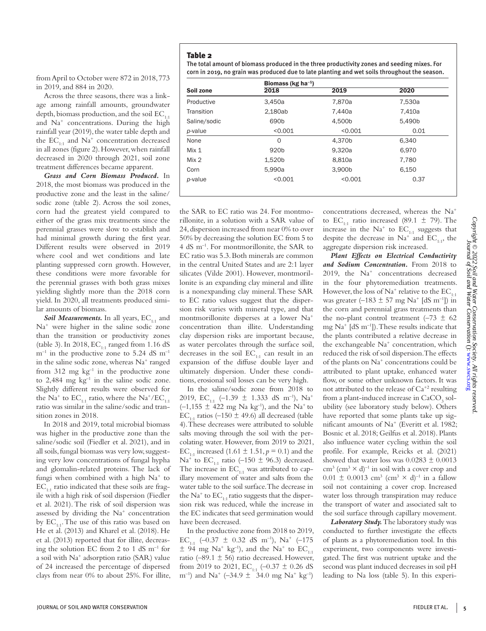from April to October were 872 in 2018, 773 in 2019, and 884 in 2020.

Across the three seasons, there was a linkage among rainfall amounts, groundwater depth, biomass production, and the soil  $EC_{1:1}$ and Na+ concentrations. During the high rainfall year (2019), the water table depth and the  $EC_{1:1}$  and  $Na^{+}$  concentration decreased in all zones (figure 2). However, when rainfall decreased in 2020 through 2021, soil zone treatment differences became apparent.

*Grass and Corn Biomass Produced.* In 2018, the most biomass was produced in the productive zone and the least in the saline/ sodic zone (table 2). Across the soil zones, corn had the greatest yield compared to either of the grass mix treatments since the perennial grasses were slow to establish and had minimal growth during the first year. Different results were observed in 2019 where cool and wet conditions and late planting suppressed corn growth. However, these conditions were more favorable for the perennial grasses with both grass mixes yielding slightly more than the 2018 corn yield. In 2020, all treatments produced similar amounts of biomass.

Soil Measurements. In all years, EC<sub>1:1</sub> and Na+ were higher in the saline sodic zone than the transition or productivity zones (table 3). In 2018,  $EC_{1:1}$  ranged from 1.16 dS  $m^{-1}$  in the productive zone to 5.24 dS  $m^{-1}$ in the saline sodic zone, whereas Na<sup>+</sup> ranged from  $312$  mg  $kg^{-1}$  in the productive zone to  $2,484$  mg kg<sup>-1</sup> in the saline sodic zone. Slightly different results were observed for the Na<sup>+</sup> to  $EC_{1:1}$  ratio, where the Na<sup>+</sup>/EC<sub>1:1</sub> ratio was similar in the saline/sodic and transition zones in 2018.

In 2018 and 2019, total microbial biomass was higher in the productive zone than the saline/sodic soil (Fiedler et al. 2021), and in all soils, fungal biomass was very low, suggesting very low concentrations of fungal hypha and glomalin-related proteins. The lack of fungi when combined with a high  $Na<sup>+</sup>$  to  $EC_{1:1}$  ratio indicated that these soils are fragile with a high risk of soil dispersion (Fiedler et al. 2021). The risk of soil dispersion was assessed by dividing the Na<sup>+</sup> concentration by  $EC_{1:1}$ . The use of this ratio was based on He et al. (2013) and Kharel et al. (2018). He et al. (2013) reported that for illite, decreasing the solution EC from 2 to 1 dS  $\mathrm{m}^{-1}$  for a soil with Na+ adsorption ratio (SAR) value of 24 increased the percentage of dispersed clays from near 0% to about 25%. For illite, The total amount of biomass produced in the three productivity zones and seeding mixes. For corn in 2019, no grain was produced due to late planting and wet soils throughout the season.

|                  | Biomass (kg ha $^{-1}$ ) |         |        |  |  |  |
|------------------|--------------------------|---------|--------|--|--|--|
| Soil zone        | 2018                     | 2019    | 2020   |  |  |  |
| Productive       | 3,450a                   | 7,870a  | 7,530a |  |  |  |
| Transition       | 2.180ab                  | 7.440a  | 7.410a |  |  |  |
| Saline/sodic     | 690 <sub>b</sub>         | 4,500b  | 5.490b |  |  |  |
| p-value          | < 0.001                  | < 0.001 | 0.01   |  |  |  |
| None             | 0                        | 4,370b  | 6,340  |  |  |  |
| Mix <sub>1</sub> | 920 <sub>b</sub>         | 9,320a  | 6.970  |  |  |  |
| Mix 2            | 1,520b                   | 8,810a  | 7,780  |  |  |  |
| Corn             | 5.990a                   | 3,900b  | 6.150  |  |  |  |
| p-value          | < 0.001                  | < 0.001 | 0.37   |  |  |  |

the SAR to EC ratio was 24. For montmorillonite, in a solution with a SAR value of 24, dispersion increased from near 0% to over 50% by decreasing the solution EC from 5 to 4 dS m–1. For montmorillonite, the SAR to EC ratio was 5.3. Both minerals are common in the central United States and are 2:1 layer silicates (Vilde 2001). However, montmorillonite is an expanding clay mineral and illite is a nonexpanding clay mineral. These SAR to EC ratio values suggest that the dispersion risk varies with mineral type, and that montmorillonite disperses at a lower Na+ concentration than illite. Understanding clay dispersion risks are important because, as water percolates through the surface soil, decreases in the soil  $EC_{1:1}$  can result in an expansion of the diffuse double layer and ultimately dispersion. Under these conditions, erosional soil losses can be very high.

In the saline/sodic zone from 2018 to 2019, EC<sub>1:1</sub> (-1.39  $\pm$  1.333 dS m<sup>-1</sup>), Na<sup>+</sup>  $(-1,155 \pm 422 \text{ mg Na kg}^{-1})$ , and the Na<sup>+</sup> to  $EC_{1:1}$  ratios (-150  $\pm$  49.6) all decreased (table 4). These decreases were attributed to soluble salts moving through the soil with the percolating water. However, from 2019 to 2021, EC<sub>11</sub> increased (1.61  $\pm$  1.51, *p* = 0.1) and the Na<sup>+</sup> to EC<sub>1:1</sub> ratio (-150  $\pm$  96.3) decreased. The increase in  $EC_{1:1}$  was attributed to capillary movement of water and salts from the water table to the soil surface. The decrease in the Na<sup>+</sup> to  $EC_{1:1}$  ratio suggests that the dispersion risk was reduced, while the increase in the EC indicates that seed germination would have been decreased.

In the productive zone from 2018 to 2019, EC<sub>14</sub> (-0.37  $\pm$  0.32 dS m<sup>-1</sup>), Na<sup>+</sup> (-175  $\pm$  94 mg Na<sup>+</sup> kg<sup>-1</sup>), and the Na<sup>+</sup> to EC<sub>1:1</sub> ratio (-89.1  $\pm$  56) ratio decreased. However, from 2019 to 2021, EC<sub>1:1</sub> (-0.37  $\pm$  0.26 dS  $(m^{-1})$  and Na<sup>+</sup> (-34.9  $\pm$  34.0 mg Na<sup>+</sup> kg<sup>-1</sup>)

concentrations decreased, whereas the Na+ to EC<sub>1:1</sub> ratio increased (89.1  $\pm$  79). The increase in the  $Na^+$  to  $EC_{1:1}$  suggests that despite the decrease in  $Na<sup>+</sup>$  and EC<sub>1:1</sub>, the aggregate dispersion risk increased.

*Plant Effects on Electrical Conductivity and Sodium Concentration.* From 2018 to 2019, the Na+ concentrations decreased in the four phytoremediation treatments. However, the loss of Na<sup>+</sup> relative to the  $EC_{1:1}$ was greater  $(-183 \pm 57 \text{ mg Na}^+ \text{ [dS m}^{-1]})$  in the corn and perennial grass treatments than the no-plant control treatment ( $-73 \pm 62$ mg Na+ [dS m–1]). These results indicate that the plants contributed a relative decrease in the exchangeable  $Na^+$  concentration, which reduced the risk of soil dispersion. The effects of the plants on Na<sup>+</sup> concentrations could be attributed to plant uptake, enhanced water flow, or some other unknown factors. It was not attributed to the release of  $Ca^{+2}$  resulting from a plant-induced increase in  $\mathrm{CaCO}_3^{}$  solubility (see laboratory study below). Others have reported that some plants take up significant amounts of Na<sup>+</sup> (Everitt et al. 1982; Bosnic et al. 2018; Geilfus et al. 2018). Plants also influence water cycling within the soil profile. For example, Reicks et al. (2021) showed that water loss was  $0.0283 \pm 0.0013$  $\text{cm}^3 \text{ (cm}^3 \times \text{d})^{-1}$  in soil with a cover crop and  $0.01 \pm 0.0013$  cm<sup>3</sup> (cm<sup>3</sup> × d)<sup>-1</sup> in a fallow soil not containing a cover crop. Increased water loss through transpiration may reduce the transport of water and associated salt to the soil surface through capillary movement.

*Laboratory Study.* The laboratory study was conducted to further investigate the effects of plants as a phytoremediation tool. In this experiment, two components were investigated. The first was nutrient uptake and the second was plant induced decreases in soil pH leading to Na loss (table 5). In this experi-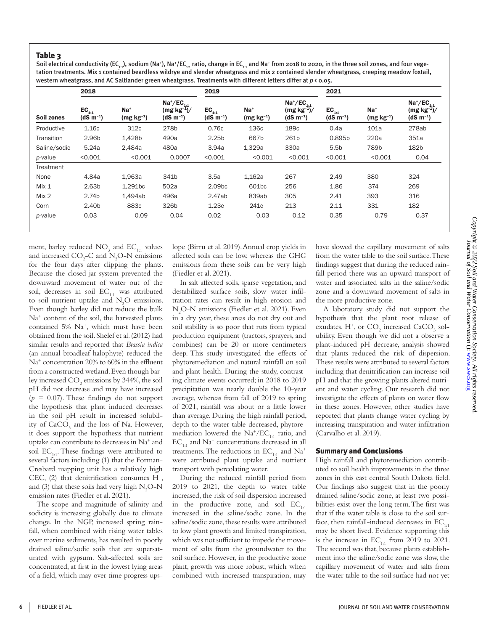# Table 3

Soil electrical conductivity (EC<sub>1</sub>,,), sodium (Na<sup>+</sup>), Na<sup>+</sup>/EC<sub>1</sub>, ratio, change in EC<sub>11</sub> and Na<sup>+</sup> from 2018 to 2020, in the three soil zones, and four vegetation treatments. Mix 1 contained beardless wildrye and slender wheatgrass and mix 2 contained slender wheatgrass, creeping meadow foxtail, western wheatgrass, and AC Saltlander green wheatgrass. Treatments with different letters differ at *p* < 0.05.

|              | 2018                        |                         |                                                                           | 2019                        |                         |                                                     | 2021                        |                      |                                                     |
|--------------|-----------------------------|-------------------------|---------------------------------------------------------------------------|-----------------------------|-------------------------|-----------------------------------------------------|-----------------------------|----------------------|-----------------------------------------------------|
| Soil zones   | $EC_{1:1}$<br>$(dS m^{-1})$ | $Na+$<br>$(mg kg^{-1})$ | $\text{Na}^{\ast}/\text{EC}_{_{1:1}}$<br>$(mg kg^{-1})/$<br>$(dS m^{-1})$ | $EC_{1:1}$<br>$(dS m^{-1})$ | $Na+$<br>$(mg kg^{-1})$ | $Na^*/EC_{1:1}$<br>$(mg kg^{-1})/$<br>$(dS m^{-1})$ | $EC_{1:1}$<br>$(dS m^{-1})$ | $Na+$<br>$(mg kg-1)$ | $Na^*/EC_{1:1}$<br>$(mg kg^{-1})/$<br>$(dS m^{-1})$ |
| Productive   | 1.16c                       | 312c                    | 278b                                                                      | 0.76c                       | 136c                    | 189c                                                | 0.4a                        | 101a                 | 278ab                                               |
| Transition   | 2.96b                       | 1,428b                  | 490a                                                                      | 2.25 <sub>b</sub>           | 667b                    | 261b                                                | 0.895b                      | 220a                 | 351a                                                |
| Saline/sodic | 5.24a                       | 2.484a                  | 480a                                                                      | 3.94a                       | 1,329a                  | 330a                                                | 5.5 <sub>b</sub>            | 789b                 | 182b                                                |
| p-value      | < 0.001                     | < 0.001                 | 0.0007                                                                    | < 0.001                     | < 0.001                 | < 0.001                                             | < 0.001                     | < 0.001              | 0.04                                                |
| Treatment    |                             |                         |                                                                           |                             |                         |                                                     |                             |                      |                                                     |
| None         | 4.84a                       | 1,963a                  | 341b                                                                      | 3.5a                        | 1,162a                  | 267                                                 | 2.49                        | 380                  | 324                                                 |
| Mix 1        | 2.63 <sub>b</sub>           | 1,291bc                 | 502a                                                                      | 2.09bc                      | 601bc                   | 256                                                 | 1.86                        | 374                  | 269                                                 |
| Mix 2        | 2.74b                       | 1,494ab                 | 496a                                                                      | 2.47ab                      | 839ab                   | 305                                                 | 2.41                        | 393                  | 316                                                 |
| Corn         | 2.40 <sub>b</sub>           | 883c                    | 326b                                                                      | 1.23c                       | 241c                    | 213                                                 | 2.11                        | 331                  | 182                                                 |
| p-value      | 0.03                        | 0.09                    | 0.04                                                                      | 0.02                        | 0.03                    | 0.12                                                | 0.35                        | 0.79                 | 0.37                                                |

ment, barley reduced  $\text{NO}_3$  and  $\text{EC}_{1:1}$  values and increased  $CO_2$ -C and N<sub>2</sub>O-N emissions for the four days after clipping the plants. Because the closed jar system prevented the downward movement of water out of the soil, decreases in soil  $EC_{1:1}$  was attributed to soil nutrient uptake and  $N_2O$  emissions. Even though barley did not reduce the bulk Na+ content of the soil, the harvested plants contained 5% Na<sup>+</sup>, which must have been obtained from the soil. Shelef et al. (2012) had similar results and reported that *Brassia indica* (an annual broadleaf halophyte) reduced the Na<sup>+</sup> concentration 20% to 60% in the effluent from a constructed wetland. Even though barley increased  $\mathrm{CO}_2$  emissions by 344%, the soil pH did not decrease and may have increased  $(p = 0.07)$ . These findings do not support the hypothesis that plant induced decreases in the soil pH result in increased solubility of  $\mathrm{CaCO}_{_3}$  and the loss of Na. However, it does support the hypothesis that nutrient uptake can contribute to decreases in Na+ and soil  $EC_{1:1}$ . These findings were attributed to several factors including (1) that the Forman-Cresbard mapping unit has a relatively high CEC,  $(2)$  that denitrification consumes  $H^+$ , and (3) that these soils had very high  $\rm N_2O\text{-}N$ emission rates (Fiedler et al. 2021).

The scope and magnitude of salinity and sodicity is increasing globally due to climate change. In the NGP, increased spring rainfall, when combined with rising water tables over marine sediments, has resulted in poorly drained saline/sodic soils that are supersaturated with gypsum. Salt-affected soils are concentrated, at first in the lowest lying areas of a field, which may over time progress upslope (Birru et al. 2019). Annual crop yields in affected soils can be low, whereas the GHG emissions from these soils can be very high (Fiedler et al. 2021).

In salt affected soils, sparse vegetation, and destabilized surface soils, slow water infiltration rates can result in high erosion and N2 O-N emissions (Fiedler et al. 2021). Even in a dry year, these areas do not dry out and soil stability is so poor that ruts from typical production equipment (tractors, sprayers, and combines) can be 20 or more centimeters deep. This study investigated the effects of phytoremediation and natural rainfall on soil and plant health. During the study, contrasting climate events occurred; in 2018 to 2019 precipitation was nearly double the 10-year average, whereas from fall of 2019 to spring of 2021, rainfall was about or a little lower than average. During the high rainfall period, depth to the water table decreased, phytoremediation lowered the  $Na^+/EC_{1:1}$  ratio, and  $EC_{1:1}$  and  $Na<sup>+</sup>$  concentrations decreased in all treatments. The reductions in  $EC_{1:1}$  and  $Na^{+}$ were attributed plant uptake and nutrient transport with percolating water.

During the reduced rainfall period from 2019 to 2021, the depth to water table increased, the risk of soil dispersion increased in the productive zone, and soil  $EC_{1:1}$ increased in the saline/sodic zone. In the saline/sodic zone, these results were attributed to low plant growth and limited transpiration, which was not sufficient to impede the movement of salts from the groundwater to the soil surface. However, in the productive zone plant, growth was more robust, which when combined with increased transpiration, may

have slowed the capillary movement of salts from the water table to the soil surface. These findings suggest that during the reduced rainfall period there was an upward transport of water and associated salts in the saline/sodic zone and a downward movement of salts in the more productive zone.

A laboratory study did not support the hypothesis that the plant root release of exudates,  $H^+$ , or  $CO_2$  increased  $CaCO_3$  solubility. Even though we did not a observe a plant-induced pH decrease, analysis showed that plants reduced the risk of dispersion. These results were attributed to several factors including that denitrification can increase soil pH and that the growing plants altered nutrient and water cycling. Our research did not investigate the effects of plants on water flow in these zones. However, other studies have reported that plants change water cycling by increasing transpiration and water infiltration (Carvalho et al. 2019).

# Summary and Conclusions

High rainfall and phytoremediation contributed to soil health improvements in the three zones in this east central South Dakota field. Our findings also suggest that in the poorly drained saline/sodic zone, at least two possibilities exist over the long term. The first was that if the water table is close to the soil surface, then rainfall-induced decreases in  $EC_{1:1}$ may be short lived. Evidence supporting this is the increase in  $EC_{1:1}$  from 2019 to 2021. The second was that, because plants establishment into the saline/sodic zone was slow, the capillary movement of water and salts from the water table to the soil surface had not yet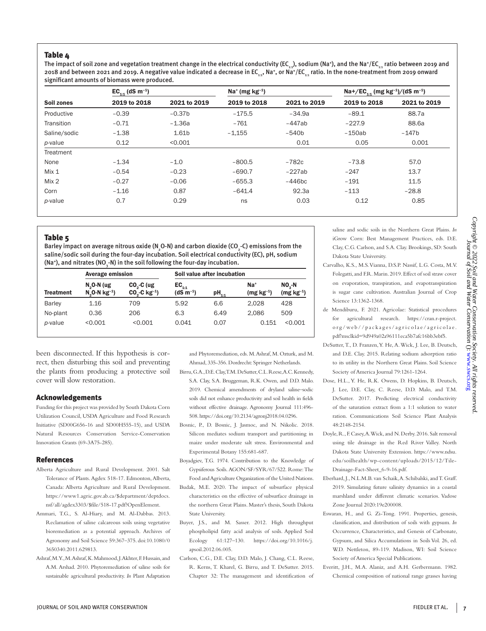## Table 4

The impact of soil zone and vegetation treatment change in the electrical conductivity (EC<sub>1</sub>,), sodium (Na<sup>+</sup>), and the Na<sup>+</sup>/EC<sub>1</sub>, ratio between 2019 and 2018 and between 2021 and 2019. A negative value indicated a decrease in EC<sub>111</sub>, Na+, or Na+/EC<sub>111</sub> ratio. In the none-treatment from 2019 onward significant amounts of biomass were produced.

|              | $EC_{11}$ (dS m <sup>-1</sup> ) |                   |              |              | Na+/EC <sub>1-1</sub> (mg kg <sup>-1</sup> )/(dS m <sup>-1</sup> ) |              |
|--------------|---------------------------------|-------------------|--------------|--------------|--------------------------------------------------------------------|--------------|
| Soil zones   | 2019 to 2018                    | 2021 to 2019      | 2019 to 2018 | 2021 to 2019 | 2019 to 2018                                                       | 2021 to 2019 |
| Productive   | $-0.39$                         | $-0.37b$          | $-175.5$     | $-34.9a$     | $-89.1$                                                            | 88.7a        |
| Transition   | $-0.71$                         | $-1.36a$          | $-761$       | $-447ab$     | $-227.9$                                                           | 88.6a        |
| Saline/sodic | $-1.38$                         | 1.61 <sub>b</sub> | $-1.155$     | $-540b$      | $-150ab$                                                           | $-147b$      |
| p-value      | 0.12                            | < 0.001           |              | 0.01         | 0.05                                                               | 0.001        |
| Treatment    |                                 |                   |              |              |                                                                    |              |
| None         | $-1.34$                         | $-1.0$            | $-800.5$     | $-782c$      | $-73.8$                                                            | 57.0         |
| Mix 1        | $-0.54$                         | $-0.23$           | $-690.7$     | $-227ab$     | $-247$                                                             | 13.7         |
| Mix 2        | $-0.27$                         | $-0.06$           | $-655.3$     | $-446$ bc    | $-191$                                                             | 11.5         |
| Corn         | $-1.16$                         | 0.87              | $-641.4$     | 92.3a        | $-113$                                                             | $-28.8$      |
| p-value      | 0.7                             | 0.29              | ns           | 0.03         | 0.12                                                               | 0.85         |

#### Table 5

Barley impact on average nitrous oxide (N¸O-N) and carbon dioxide (CO¸-C) emissions from the saline/sodic soil during the four-day incubation. Soil electrical conductivity (EC), pH, sodium (Na\*), and nitrates (NO<sub>3</sub>-N) in the soil following the four-day incubation.

|                  | <b>Average emission</b>                |                                           | Soil value after incubation |            |                      |                        |  |
|------------------|----------------------------------------|-------------------------------------------|-----------------------------|------------|----------------------|------------------------|--|
| <b>Treatment</b> | $N_2$ O-N (ug<br>$N_0$ O-N $kg^{-1}$ ) | $CO3-C$ (ug<br>$CO3-C$ kg <sup>-1</sup> ) | $EC_{1:1}$<br>$(dS m^{-1})$ | $pH_{1:1}$ | $Na+$<br>$(mg kg-1)$ | $NO2-N$<br>$(mg kg-1)$ |  |
| <b>Barley</b>    | 1.16                                   | 709                                       | 5.92                        | 6.6        | 2.028                | 428                    |  |
| No-plant         | 0.36                                   | 206                                       | 6.3                         | 6.49       | 2.086                | 509                    |  |
| <i>p</i> -value  | < 0.001                                | < 0.001                                   | 0.041                       | 0.07       | 0.151                | < 0.001                |  |

been disconnected. If this hypothesis is correct, then disturbing this soil and preventing the plants from producing a protective soil cover will slow restoration.

### Acknowledgements

Funding for this project was provided by South Dakota Corn Utilization Council, USDA Agriculture and Food Research Initiative (SD00G656-16 and SD00H555-15), and USDA Natural Resources Conservation Service-Conservation Innovation Grants (69-3A75-285).

#### References

- Alberta Agriculture and Rural Development. 2001. Salt Tolerance of Plants. Agdex 518-17. Edmonton, Alberta, Canada: Alberta Agriculture and Rural Development. https://www1.agric.gov.ab.ca/\$department/deptdocs. nsf/all/agdex3303/\$file/518-17.pdf?OpenElement.
- Ammari, T.G., S. Al-Hiary, and M. Al-Dabbas. 2013. Reclamation of saline calcareous soils using vegetative bioremediation as a potential approach. Archives of Agronomy and Soil Science 59:367–375. doi:10.1080/0 3650340.2011.629813.
- Ashraf, M.Y., M. Ashraf, K. Mahmood, J. Akhter, F. Hussain, and A.M. Arshad. 2010. Phytoremediation of saline soils for sustainable agricultural productivity. *In* Plant Adaptation

and Phytoremediation, eds. M. Ashraf, M. Ozturk, and M. Ahmad, 335-356. Dordrecht: Springer Netherlands.

- Birru, G.A., D.E. Clay, T.M. DeSutter, C.L. Reese, A.C. Kennedy, S.A. Clay, S.A. Bruggeman, R.K. Owen, and D.D. Malo. 2019. Chemical amendments of dryland saline–sodic soils did not enhance productivity and soil health in fields without effective drainage. Agronomy Journal 111:496- 508. https://doi.org/10.2134/agronj2018.04.0296.
- Bosnic, P., D. Bosnic, J. Jasmoc, and N. Nikolic. 2018. Silicon mediates sodium transport and partitioning in maize under moderate salt stress. Environmental and Experimental Botany 155:681-687.
- Boyadgiev, T.G. 1974. Contribution to the Knowledge of Gypsiferous Soils. AGON/SF/SYR/67/522. Rome: The Food and Agriculture Organization of the United Nations.
- Budak, M.E. 2020. The impact of subsurface physical characteristics on the effective of subsurface drainage in the northern Great Plains. Master's thesis, South Dakota State University.
- Buyer, J.S., and M. Sasser. 2012. High throughput phospholipid fatty acid analysis of soils. Applied Soil Ecology 61:127–130. https://doi.org/10.1016/j. apsoil.2012.06.005.
- Carlson, C.G., D.E. Clay, D.D. Malo, J. Chang, C.L. Reese, R. Kerns, T. Kharel, G. Birru, and T. DeSutter. 2015. Chapter 32: The management and identification of

saline and sodic soils in the Northern Great Plains. *In*  iGrow Corn: Best Management Practices, eds. D.E. Clay, C.G. Carlson, and S.A. Clay. Brookings, SD: South Dakota State University.

- Carvalho, K.S., M.S. Vianna, D.S.P. Nassif, L.G. Costa, M.V. Folegatti, and F.R. Marin. 2019. Effect of soil straw cover on evaporation, transpiration, and evapotranspiration is sugar cane cultivation. Australian Journal of Crop Science 13:1362-1368.
- de Mendiburu, F. 2021. Agricolae: Statistical procedures for agricultural research. https://cran.r-project. org/web//packages/agricolae/agricolae. pdf?msclkid=9d949a02a96111eca5b7afc16bb3ebf5.
- DeSutter, T., D. Franzen, Y. He, A. Wick, J. Lee, B. Deutsch, and D.E. Clay. 2015. Relating sodium adsorption ratio to its utility in the Northern Great Plains. Soil Science Society of America Journal 79:1261-1264.
- Dose, H.L., Y. He, R.K. Owens, D. Hopkins, B. Deutsch, J. Lee, D.E. Clay, C. Reese, D.D. Malo, and T.M. DeSutter. 2017. Predicting electrical conductivity of the saturation extract from a 1:1 solution to water ration. Communications Soil Science Plant Analysis 48:2148-2154.
- Doyle, R., F. Casey, A. Wick, and N. Derby. 2016. Salt removal using tile drainage in the Red River Valley. North Dakota State University Extension. https://www.ndsu. edu/soilhealth/wp-content/uploads/2015/12/Tile-Drainage-Fact-Sheet\_6-9-16.pdf.
- Eberhard, J., N.L.M.B. van Schaik, A. Schibalski, and T. Graff. 2019. Simulating future salinity dynamics in a coastal marshland under different climatic scenarios. Vadose Zone Journal 2020:19e200008.
- Eswaran, H., and G. Zi-Tong. 1991. Properties, genesis, classification, and distribution of soils with gypsum. *In*  Occurrence, Characteristics, and Genesis of Carbonate, Gypsum, and Silica Accumulations in Soils Vol. 26, ed. W.D. Nettleton, 89-119. Madison, WI: Soil Science Society of America Special Publications.
- Everitt, J.H., M.A. Alaniz, and A.H. Gerbermann. 1982. Chemical composition of national range grasses having